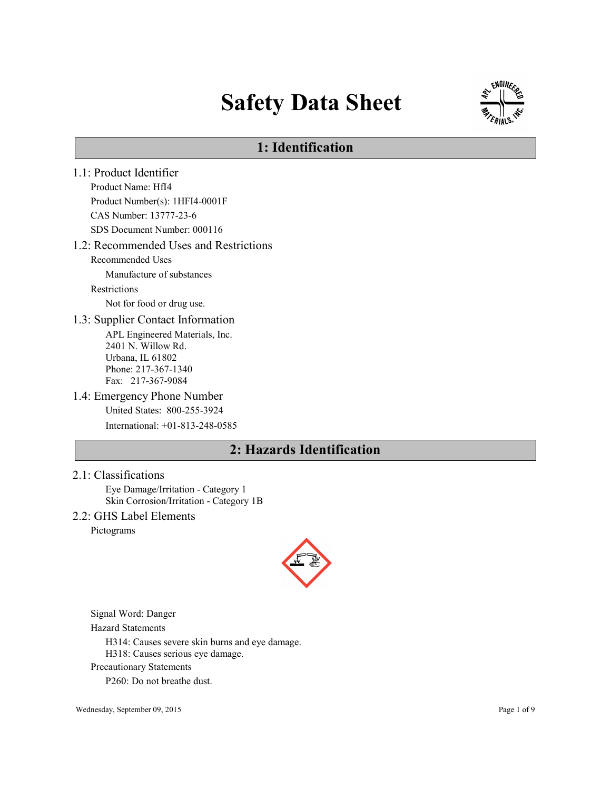# Safety Data Sheet



# 1: Identification

1.1: Product Identifier Product Name: HfI4 Product Number(s): 1HFI4-0001F CAS Number: 13777-23-6 SDS Document Number: 000116 1.2: Recommended Uses and Restrictions Recommended Uses Manufacture of substances Restrictions Not for food or drug use. 1.3: Supplier Contact Information APL Engineered Materials, Inc. 2401 N. Willow Rd. Urbana, IL 61802 Phone: 217-367-1340 Fax: 217-367-9084 1.4: Emergency Phone Number United States: 800-255-3924 International: +01-813-248-0585 2: Hazards Identification

## 2.1: Classifications

Eye Damage/Irritation - Category 1 Skin Corrosion/Irritation - Category 1B

## 2.2: GHS Label Elements

Pictograms



Signal Word: Danger

Hazard Statements

H314: Causes severe skin burns and eye damage.

H318: Causes serious eye damage.

Precautionary Statements

P260: Do not breathe dust.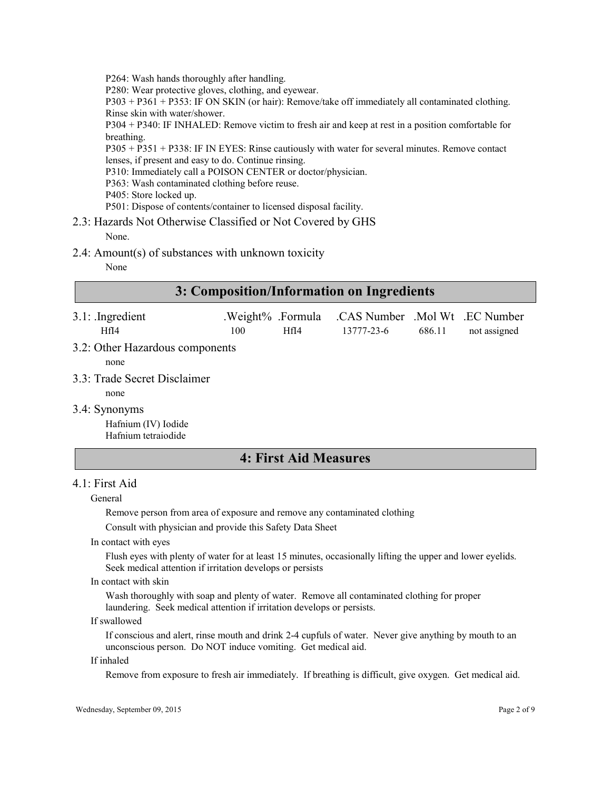P264: Wash hands thoroughly after handling.

P280: Wear protective gloves, clothing, and eyewear.

P303 + P361 + P353: IF ON SKIN (or hair): Remove/take off immediately all contaminated clothing. Rinse skin with water/shower.

P304 + P340: IF INHALED: Remove victim to fresh air and keep at rest in a position comfortable for breathing.

P305 + P351 + P338: IF IN EYES: Rinse cautiously with water for several minutes. Remove contact lenses, if present and easy to do. Continue rinsing.

P310: Immediately call a POISON CENTER or doctor/physician.

- P363: Wash contaminated clothing before reuse.
- P405: Store locked up.

P501: Dispose of contents/container to licensed disposal facility.

# 2.3: Hazards Not Otherwise Classified or Not Covered by GHS

None.

2.4: Amount(s) of substances with unknown toxicity

None

| 3: Composition/Information on Ingredients                   |     |                           |                                              |        |              |
|-------------------------------------------------------------|-----|---------------------------|----------------------------------------------|--------|--------------|
| $3.1$ : Ingredient<br>HfI4                                  | 100 | .Weight% .Formula<br>HfI4 | .CAS Number .Mol Wt .EC Number<br>13777-23-6 | 686.11 | not assigned |
| 3.2: Other Hazardous components<br>none                     |     |                           |                                              |        |              |
| 3.3: Trade Secret Disclaimer<br>none                        |     |                           |                                              |        |              |
| 3.4: Synonyms<br>Hafnium (IV) Iodide<br>Hafnium tetraiodide |     |                           |                                              |        |              |

# 4: First Aid Measures

## 4.1: First Aid

#### General

Remove person from area of exposure and remove any contaminated clothing

Consult with physician and provide this Safety Data Sheet

In contact with eyes

Flush eyes with plenty of water for at least 15 minutes, occasionally lifting the upper and lower eyelids. Seek medical attention if irritation develops or persists

#### In contact with skin

Wash thoroughly with soap and plenty of water. Remove all contaminated clothing for proper laundering. Seek medical attention if irritation develops or persists.

#### If swallowed

If conscious and alert, rinse mouth and drink 2-4 cupfuls of water. Never give anything by mouth to an unconscious person. Do NOT induce vomiting. Get medical aid.

#### If inhaled

Remove from exposure to fresh air immediately. If breathing is difficult, give oxygen. Get medical aid.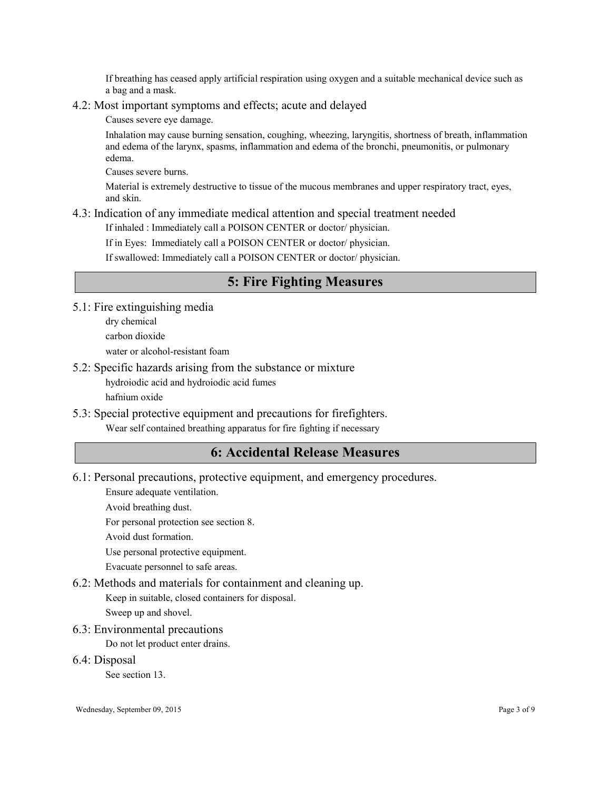If breathing has ceased apply artificial respiration using oxygen and a suitable mechanical device such as a bag and a mask.

## 4.2: Most important symptoms and effects; acute and delayed

Causes severe eye damage.

Inhalation may cause burning sensation, coughing, wheezing, laryngitis, shortness of breath, inflammation and edema of the larynx, spasms, inflammation and edema of the bronchi, pneumonitis, or pulmonary edema.

Causes severe burns.

Material is extremely destructive to tissue of the mucous membranes and upper respiratory tract, eyes, and skin.

## 4.3: Indication of any immediate medical attention and special treatment needed

If inhaled : Immediately call a POISON CENTER or doctor/ physician.

If in Eyes: Immediately call a POISON CENTER or doctor/ physician.

If swallowed: Immediately call a POISON CENTER or doctor/ physician.

# 5: Fire Fighting Measures

- 5.1: Fire extinguishing media
	- dry chemical
	- carbon dioxide

water or alcohol-resistant foam

5.2: Specific hazards arising from the substance or mixture

hydroiodic acid and hydroiodic acid fumes

hafnium oxide

5.3: Special protective equipment and precautions for firefighters.

Wear self contained breathing apparatus for fire fighting if necessary

# 6: Accidental Release Measures

6.1: Personal precautions, protective equipment, and emergency procedures.

Ensure adequate ventilation.

Avoid breathing dust.

For personal protection see section 8.

Avoid dust formation.

Use personal protective equipment.

Evacuate personnel to safe areas.

## 6.2: Methods and materials for containment and cleaning up.

Keep in suitable, closed containers for disposal.

Sweep up and shovel.

6.3: Environmental precautions

Do not let product enter drains.

6.4: Disposal

See section 13.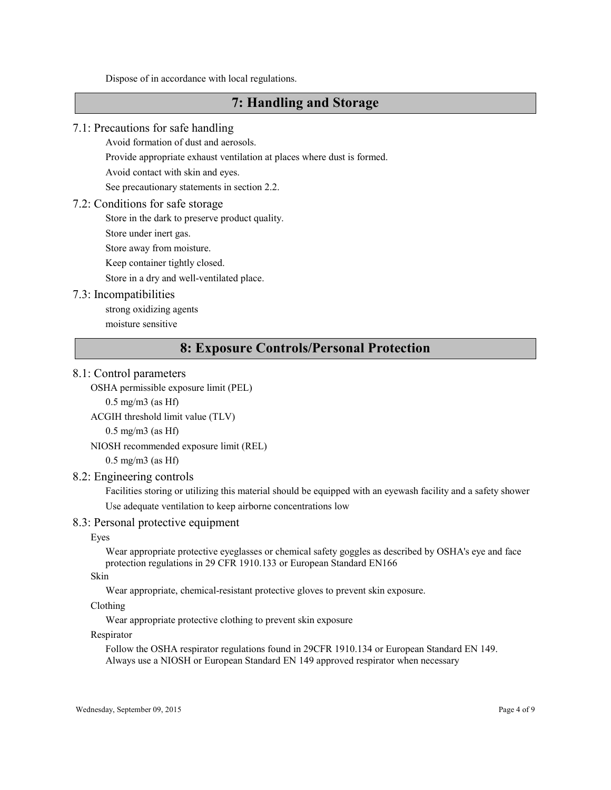Dispose of in accordance with local regulations.

# 7: Handling and Storage

#### 7.1: Precautions for safe handling

Avoid formation of dust and aerosols.

Provide appropriate exhaust ventilation at places where dust is formed.

Avoid contact with skin and eyes.

See precautionary statements in section 2.2.

#### 7.2: Conditions for safe storage

Store in the dark to preserve product quality.

Store under inert gas.

Store away from moisture.

Keep container tightly closed.

Store in a dry and well-ventilated place.

#### 7.3: Incompatibilities

strong oxidizing agents

moisture sensitive

## 8: Exposure Controls/Personal Protection

#### 8.1: Control parameters

OSHA permissible exposure limit (PEL)

 $0.5$  mg/m $3$  (as Hf)

```
ACGIH threshold limit value (TLV)
```
0.5 mg/m3 (as Hf)

#### NIOSH recommended exposure limit (REL)

0.5 mg/m3 (as Hf)

## 8.2: Engineering controls

Facilities storing or utilizing this material should be equipped with an eyewash facility and a safety shower Use adequate ventilation to keep airborne concentrations low

#### 8.3: Personal protective equipment

Eyes

Wear appropriate protective eyeglasses or chemical safety goggles as described by OSHA's eye and face protection regulations in 29 CFR 1910.133 or European Standard EN166

#### Skin

Wear appropriate, chemical-resistant protective gloves to prevent skin exposure.

Clothing

Wear appropriate protective clothing to prevent skin exposure

#### Respirator

Follow the OSHA respirator regulations found in 29CFR 1910.134 or European Standard EN 149. Always use a NIOSH or European Standard EN 149 approved respirator when necessary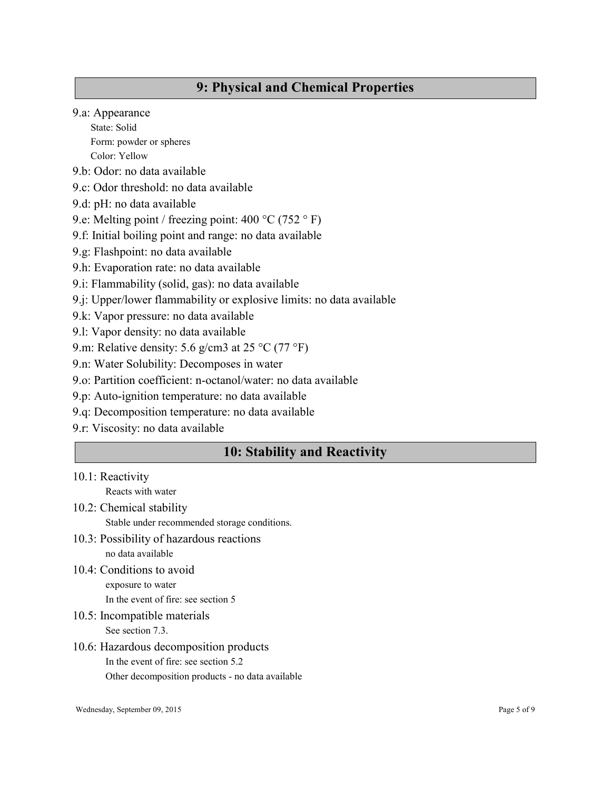# 9: Physical and Chemical Properties

9.a: Appearance

State: Solid Form: powder or spheres Color: Yellow

- 9.b: Odor: no data available
- 9.c: Odor threshold: no data available
- 9.d: pH: no data available
- 9.e: Melting point / freezing point: 400 °C (752 ° F)
- 9.f: Initial boiling point and range: no data available
- 9.g: Flashpoint: no data available
- 9.h: Evaporation rate: no data available
- 9.i: Flammability (solid, gas): no data available
- 9.j: Upper/lower flammability or explosive limits: no data available
- 9.k: Vapor pressure: no data available
- 9.l: Vapor density: no data available
- 9.m: Relative density: 5.6 g/cm3 at 25 °C (77 °F)
- 9.n: Water Solubility: Decomposes in water
- 9.o: Partition coefficient: n-octanol/water: no data available
- 9.p: Auto-ignition temperature: no data available
- 9.q: Decomposition temperature: no data available
- 9.r: Viscosity: no data available

# 10: Stability and Reactivity

- 10.1: Reactivity
	- Reacts with water
- 10.2: Chemical stability Stable under recommended storage conditions.
- 10.3: Possibility of hazardous reactions no data available
- 10.4: Conditions to avoid exposure to water In the event of fire: see section 5
- 10.5: Incompatible materials See section 7.3.
- 10.6: Hazardous decomposition products In the event of fire: see section 5.2 Other decomposition products - no data available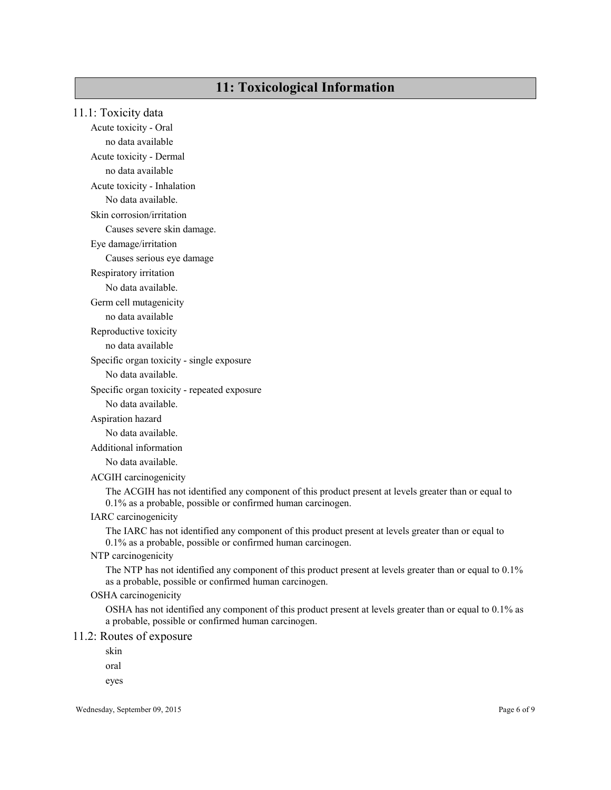# 11: Toxicological Information

## 11.1: Toxicity data

Acute toxicity - Oral no data available Acute toxicity - Dermal

no data available

Acute toxicity - Inhalation

No data available.

Skin corrosion/irritation

Causes severe skin damage.

Eye damage/irritation

Causes serious eye damage

Respiratory irritation

No data available.

Germ cell mutagenicity

no data available

Reproductive toxicity

no data available

Specific organ toxicity - single exposure

No data available.

Specific organ toxicity - repeated exposure

No data available.

#### Aspiration hazard

No data available.

Additional information

No data available.

ACGIH carcinogenicity

The ACGIH has not identified any component of this product present at levels greater than or equal to 0.1% as a probable, possible or confirmed human carcinogen.

IARC carcinogenicity

The IARC has not identified any component of this product present at levels greater than or equal to 0.1% as a probable, possible or confirmed human carcinogen.

NTP carcinogenicity

The NTP has not identified any component of this product present at levels greater than or equal to 0.1% as a probable, possible or confirmed human carcinogen.

OSHA carcinogenicity

OSHA has not identified any component of this product present at levels greater than or equal to 0.1% as a probable, possible or confirmed human carcinogen.

#### 11.2: Routes of exposure

skin

oral

eyes

Wednesday, September 09, 2015 Page 6 of 9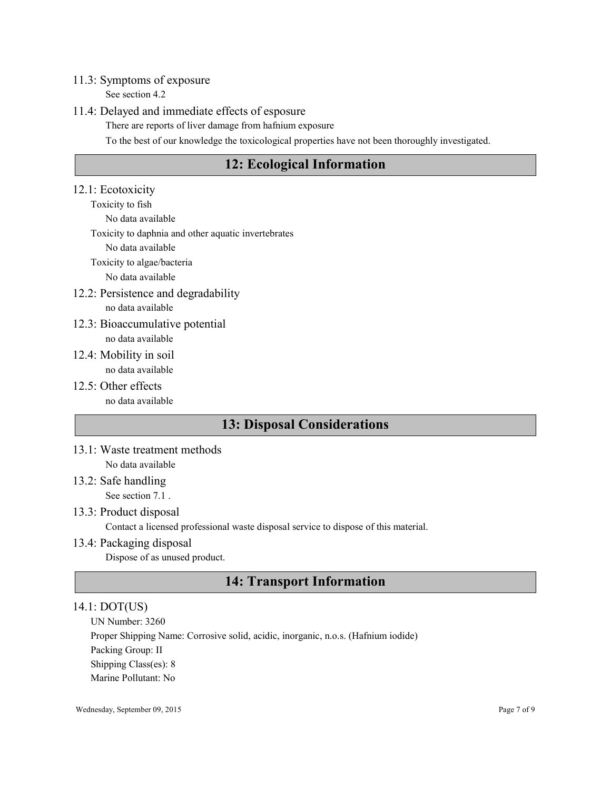## 11.3: Symptoms of exposure

See section 4.2

## 11.4: Delayed and immediate effects of esposure

There are reports of liver damage from hafnium exposure

To the best of our knowledge the toxicological properties have not been thoroughly investigated.

# 12: Ecological Information

## 12.1: Ecotoxicity

Toxicity to fish No data available Toxicity to daphnia and other aquatic invertebrates No data available Toxicity to algae/bacteria

No data available

12.2: Persistence and degradability

no data available

- 12.3: Bioaccumulative potential no data available
- 12.4: Mobility in soil no data available
- 12.5: Other effects no data available

# 13: Disposal Considerations

- 13.1: Waste treatment methods No data available
- 13.2: Safe handling See section 7.1 .
- 13.3: Product disposal

Contact a licensed professional waste disposal service to dispose of this material.

## 13.4: Packaging disposal

Dispose of as unused product.

# 14: Transport Information

## 14.1: DOT(US)

UN Number: 3260 Proper Shipping Name: Corrosive solid, acidic, inorganic, n.o.s. (Hafnium iodide) Packing Group: II Shipping Class(es): 8 Marine Pollutant: No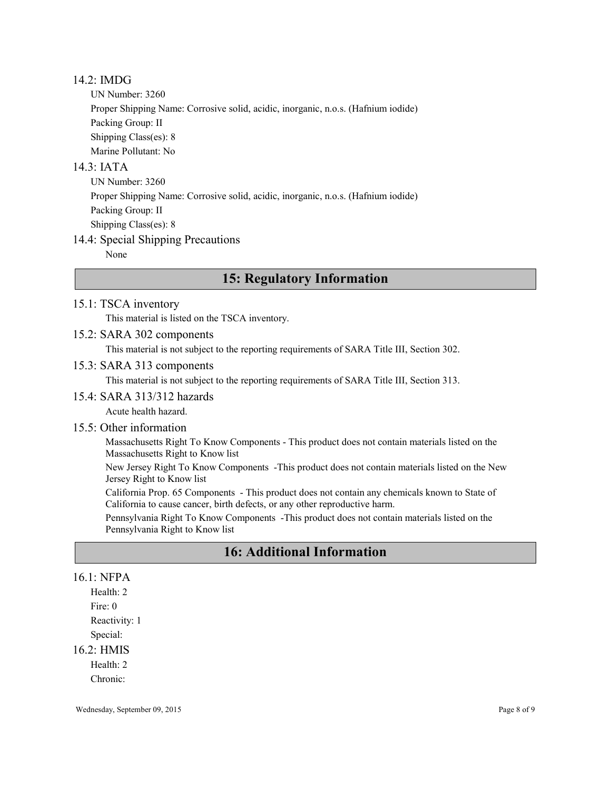## 14.2: IMDG

UN Number: 3260 Proper Shipping Name: Corrosive solid, acidic, inorganic, n.o.s. (Hafnium iodide) Packing Group: II Shipping Class(es): 8 Marine Pollutant: No

## $14.3$ <sup> $\cdot$ </sup> IATA

UN Number: 3260 Proper Shipping Name: Corrosive solid, acidic, inorganic, n.o.s. (Hafnium iodide) Packing Group: II Shipping Class(es): 8

## 14.4: Special Shipping Precautions

None

# 15: Regulatory Information

## 15.1: TSCA inventory

This material is listed on the TSCA inventory.

## 15.2: SARA 302 components

This material is not subject to the reporting requirements of SARA Title III, Section 302.

## 15.3: SARA 313 components

This material is not subject to the reporting requirements of SARA Title III, Section 313.

#### 15.4: SARA 313/312 hazards

Acute health hazard.

## 15.5: Other information

Massachusetts Right To Know Components - This product does not contain materials listed on the Massachusetts Right to Know list

New Jersey Right To Know Components -This product does not contain materials listed on the New Jersey Right to Know list

California Prop. 65 Components - This product does not contain any chemicals known to State of California to cause cancer, birth defects, or any other reproductive harm.

Pennsylvania Right To Know Components -This product does not contain materials listed on the Pennsylvania Right to Know list

# 16: Additional Information

## 16.1: NFPA

Health: 2 Fire: 0 Reactivity: 1 Special:

## 16.2: HMIS

Health: 2

Chronic: